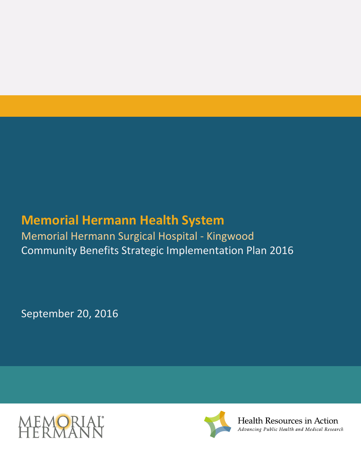# **Memorial Hermann Health System**

Memorial Hermann Surgical Hospital - Kingwood Community Benefits Strategic Implementation Plan 2016

September 20, 2016





Health Resources in Action Advancing Public Health and Medical Research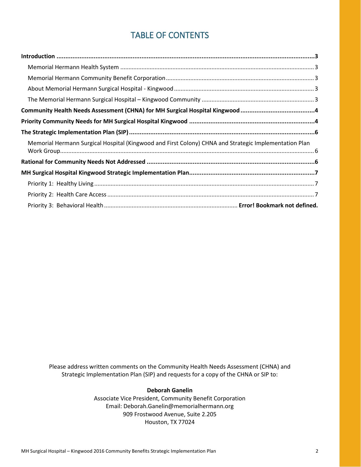### TABLE OF CONTENTS

| Memorial Hermann Surgical Hospital (Kingwood and First Colony) CHNA and Strategic Implementation Plan |  |
|-------------------------------------------------------------------------------------------------------|--|
|                                                                                                       |  |
|                                                                                                       |  |
|                                                                                                       |  |
|                                                                                                       |  |
|                                                                                                       |  |

Please address written comments on the Community Health Needs Assessment (CHNA) and Strategic Implementation Plan (SIP) and requests for a copy of the CHNA or SIP to:

#### **Deborah Ganelin**

Associate Vice President, Community Benefit Corporation Email: Deborah.Ganelin@memorialhermann.org 909 Frostwood Avenue, Suite 2.205 Houston, TX 77024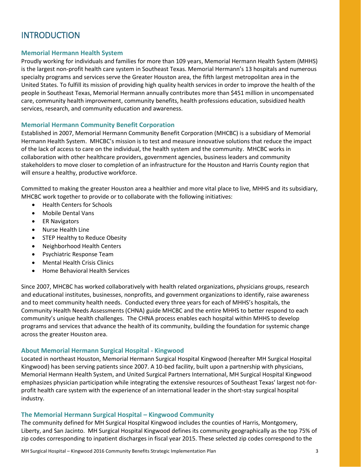# <span id="page-2-0"></span>**INTRODUCTION**

### <span id="page-2-1"></span>**Memorial Hermann Health System**

Proudly working for individuals and families for more than 109 years, Memorial Hermann Health System (MHHS) is the largest non-profit health care system in Southeast Texas. Memorial Hermann's 13 hospitals and numerous specialty programs and services serve the Greater Houston area, the fifth largest metropolitan area in the United States. To fulfill its mission of providing high quality health services in order to improve the health of the people in Southeast Texas, Memorial Hermann annually contributes more than \$451 million in uncompensated care, community health improvement, community benefits, health professions education, subsidized health services, research, and community education and awareness.

#### <span id="page-2-2"></span>**Memorial Hermann Community Benefit Corporation**

Established in 2007, Memorial Hermann Community Benefit Corporation (MHCBC) is a subsidiary of Memorial Hermann Health System. MHCBC's mission is to test and measure innovative solutions that reduce the impact of the lack of access to care on the individual, the health system and the community. MHCBC works in collaboration with other healthcare providers, government agencies, business leaders and community stakeholders to move closer to completion of an infrastructure for the Houston and Harris County region that will ensure a healthy, productive workforce.

Committed to making the greater Houston area a healthier and more vital place to live, MHHS and its subsidiary, MHCBC work together to provide or to collaborate with the following initiatives:

- Health Centers for Schools
- Mobile Dental Vans
- **•** ER Navigators
- Nurse Health Line
- STEP Healthy to Reduce Obesity
- Neighborhood Health Centers
- Psychiatric Response Team
- Mental Health Crisis Clinics
- Home Behavioral Health Services

Since 2007, MHCBC has worked collaboratively with health related organizations, physicians groups, research and educational institutes, businesses, nonprofits, and government organizations to identify, raise awareness and to meet community health needs. Conducted every three years for each of MHHS's hospitals, the Community Health Needs Assessments (CHNA) guide MHCBC and the entire MHHS to better respond to each community's unique health challenges. The CHNA process enables each hospital within MHHS to develop programs and services that advance the health of its community, building the foundation for systemic change across the greater Houston area.

#### <span id="page-2-3"></span>**About Memorial Hermann Surgical Hospital - Kingwood**

Located in northeast Houston, Memorial Hermann Surgical Hospital Kingwood (hereafter MH Surgical Hospital Kingwood) has been serving patients since 2007. A 10-bed facility, built upon a partnership with physicians, Memorial Hermann Health System, and United Surgical Partners International, MH Surgical Hospital Kingwood emphasizes physician participation while integrating the extensive resources of Southeast Texas' largest not-forprofit health care system with the experience of an international leader in the short-stay surgical hospital industry.

#### <span id="page-2-4"></span>**The Memorial Hermann Surgical Hospital – Kingwood Community**

The community defined for MH Surgical Hospital Kingwood includes the counties of Harris, Montgomery, Liberty, and San Jacinto. MH Surgical Hospital Kingwood defines its community geographically as the top 75% of zip codes corresponding to inpatient discharges in fiscal year 2015. These selected zip codes correspond to the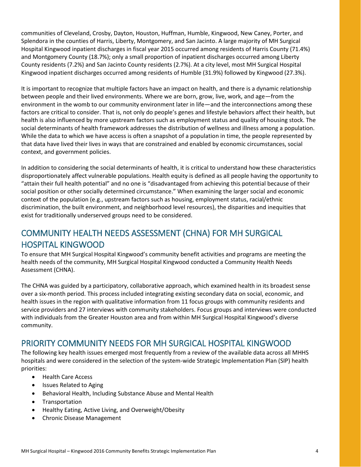communities of Cleveland, Crosby, Dayton, Houston, Huffman, Humble, Kingwood, New Caney, Porter, and Splendora in the counties of Harris, Liberty, Montgomery, and San Jacinto. A large majority of MH Surgical Hospital Kingwood inpatient discharges in fiscal year 2015 occurred among residents of Harris County (71.4%) and Montgomery County (18.7%); only a small proportion of inpatient discharges occurred among Liberty County residents (7.2%) and San Jacinto County residents (2.7%). At a city level, most MH Surgical Hospital Kingwood inpatient discharges occurred among residents of Humble (31.9%) followed by Kingwood (27.3%).

It is important to recognize that multiple factors have an impact on health, and there is a dynamic relationship between people and their lived environments. Where we are born, grow, live, work, and age—from the environment in the womb to our community environment later in life—and the interconnections among these factors are critical to consider. That is, not only do people's genes and lifestyle behaviors affect their health, but health is also influenced by more upstream factors such as employment status and quality of housing stock. The social determinants of health framework addresses the distribution of wellness and illness among a population. While the data to which we have access is often a snapshot of a population in time, the people represented by that data have lived their lives in ways that are constrained and enabled by economic circumstances, social context, and government policies.

In addition to considering the social determinants of health, it is critical to understand how these characteristics disproportionately affect vulnerable populations. Health equity is defined as all people having the opportunity to "attain their full health potential" and no one is "disadvantaged from achieving this potential because of their social position or other socially determined circumstance." When examining the larger social and economic context of the population (e.g., upstream factors such as housing, employment status, racial/ethnic discrimination, the built environment, and neighborhood level resources), the disparities and inequities that exist for traditionally underserved groups need to be considered.

# <span id="page-3-0"></span>COMMUNITY HEALTH NEEDS ASSESSMENT (CHNA) FOR MH SURGICAL HOSPITAL KINGWOOD

To ensure that MH Surgical Hospital Kingwood's community benefit activities and programs are meeting the health needs of the community, MH Surgical Hospital Kingwood conducted a Community Health Needs Assessment (CHNA).

The CHNA was guided by a participatory, collaborative approach, which examined health in its broadest sense over a six-month period. This process included integrating existing secondary data on social, economic, and health issues in the region with qualitative information from 11 focus groups with community residents and service providers and 27 interviews with community stakeholders. Focus groups and interviews were conducted with individuals from the Greater Houston area and from within MH Surgical Hospital Kingwood's diverse community.

# <span id="page-3-1"></span>PRIORITY COMMUNITY NEEDS FOR MH SURGICAL HOSPITAL KINGWOOD

The following key health issues emerged most frequently from a review of the available data across all MHHS hospitals and were considered in the selection of the system-wide Strategic Implementation Plan (SIP) health priorities:

- Health Care Access
- Issues Related to Aging
- Behavioral Health, Including Substance Abuse and Mental Health
- **•** Transportation
- Healthy Eating, Active Living, and Overweight/Obesity
- Chronic Disease Management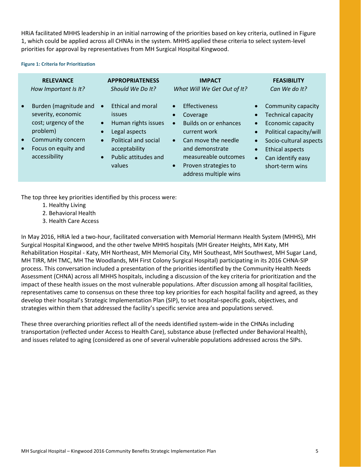HRiA facilitated MHHS leadership in an initial narrowing of the priorities based on key criteria, outlined in [Figure](#page-4-0)  [1,](#page-4-0) which could be applied across all CHNAs in the system. MHHS applied these criteria to select system-level priorities for approval by representatives from MH Surgical Hospital Kingwood.

#### <span id="page-4-0"></span>**Figure 1: Criteria for Prioritization**

| <b>RELEVANCE</b>                                                                                                                                                                    | <b>APPROPRIATENESS</b>                                                                                                                                                                                                  | <b>IMPACT</b>                                                                                                                                                                                                                                                 | <b>FEASIBILITY</b>                                                                                                                                                                                                                              |
|-------------------------------------------------------------------------------------------------------------------------------------------------------------------------------------|-------------------------------------------------------------------------------------------------------------------------------------------------------------------------------------------------------------------------|---------------------------------------------------------------------------------------------------------------------------------------------------------------------------------------------------------------------------------------------------------------|-------------------------------------------------------------------------------------------------------------------------------------------------------------------------------------------------------------------------------------------------|
| How Important Is It?                                                                                                                                                                | Should We Do It?                                                                                                                                                                                                        | What Will We Get Out of It?                                                                                                                                                                                                                                   | Can We do It?                                                                                                                                                                                                                                   |
| Burden (magnitude and<br>$\bullet$<br>severity, economic<br>cost; urgency of the<br>problem)<br>Community concern<br>$\bullet$<br>Focus on equity and<br>$\bullet$<br>accessibility | <b>Ethical and moral</b><br>$\bullet$<br><i>issues</i><br>Human rights issues<br>$\bullet$<br>Legal aspects<br><b>Political and social</b><br>$\bullet$<br>acceptability<br>Public attitudes and<br>$\bullet$<br>values | <b>Effectiveness</b><br>$\bullet$<br>Coverage<br>$\bullet$<br>Builds on or enhances<br>$\bullet$<br>current work<br>Can move the needle<br>$\bullet$<br>and demonstrate<br>measureable outcomes<br>Proven strategies to<br>$\bullet$<br>address multiple wins | Community capacity<br><b>Technical capacity</b><br>Economic capacity<br>$\bullet$<br>Political capacity/will<br>$\bullet$<br>Socio-cultural aspects<br><b>Ethical aspects</b><br>$\bullet$<br>Can identify easy<br>$\bullet$<br>short-term wins |

The top three key priorities identified by this process were:

- 1. Healthy Living
- 2. Behavioral Health
- 3. Health Care Access

In May 2016, HRiA led a two-hour, facilitated conversation with Memorial Hermann Health System (MHHS), MH Surgical Hospital Kingwood, and the other twelve MHHS hospitals (MH Greater Heights, MH Katy, MH Rehabilitation Hospital - Katy, MH Northeast, MH Memorial City, MH Southeast, MH Southwest, MH Sugar Land, MH TIRR, MH TMC, MH The Woodlands, MH First Colony Surgical Hospital) participating in its 2016 CHNA-SIP process. This conversation included a presentation of the priorities identified by the Community Health Needs Assessment (CHNA) across all MHHS hospitals, including a discussion of the key criteria for prioritization and the impact of these health issues on the most vulnerable populations. After discussion among all hospital facilities, representatives came to consensus on these three top key priorities for each hospital facility and agreed, as they develop their hospital's Strategic Implementation Plan (SIP), to set hospital-specific goals, objectives, and strategies within them that addressed the facility's specific service area and populations served.

These three overarching priorities reflect all of the needs identified system-wide in the CHNAs including transportation (reflected under Access to Health Care), substance abuse (reflected under Behavioral Health), and issues related to aging (considered as one of several vulnerable populations addressed across the SIPs.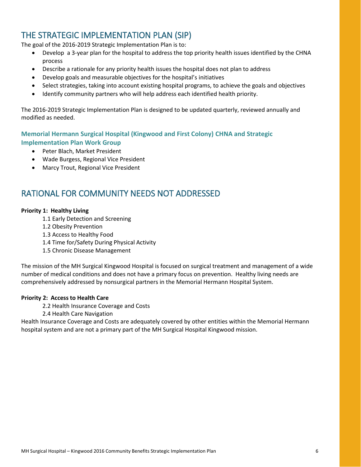# <span id="page-5-0"></span>THE STRATEGIC IMPLEMENTATION PLAN (SIP)

The goal of the 2016-2019 Strategic Implementation Plan is to:

- Develop a 3-year plan for the hospital to address the top priority health issues identified by the CHNA process
- Describe a rationale for any priority health issues the hospital does not plan to address
- Develop goals and measurable objectives for the hospital's initiatives
- Select strategies, taking into account existing hospital programs, to achieve the goals and objectives
- Identify community partners who will help address each identified health priority.

The 2016-2019 Strategic Implementation Plan is designed to be updated quarterly, reviewed annually and modified as needed.

### <span id="page-5-1"></span>**Memorial Hermann Surgical Hospital (Kingwood and First Colony) CHNA and Strategic Implementation Plan Work Group**

- Peter Blach, Market President
- Wade Burgess, Regional Vice President
- Marcy Trout, Regional Vice President

### <span id="page-5-2"></span>RATIONAL FOR COMMUNITY NEEDS NOT ADDRESSED

#### **Priority 1: Healthy Living**

- 1.1 Early Detection and Screening
- 1.2 Obesity Prevention
- 1.3 Access to Healthy Food
- 1.4 Time for/Safety During Physical Activity
- 1.5 Chronic Disease Management

The mission of the MH Surgical Kingwood Hospital is focused on surgical treatment and management of a wide number of medical conditions and does not have a primary focus on prevention. Healthy living needs are comprehensively addressed by nonsurgical partners in the Memorial Hermann Hospital System.

#### **Priority 2: Access to Health Care**

- 2.2 Health Insurance Coverage and Costs
- 2.4 Health Care Navigation

Health Insurance Coverage and Costs are adequately covered by other entities within the Memorial Hermann hospital system and are not a primary part of the MH Surgical Hospital Kingwood mission.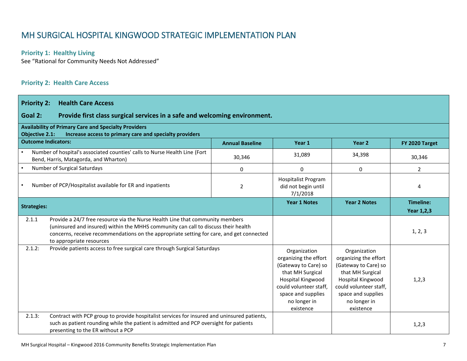### MH SURGICAL HOSPITAL KINGWOOD STRATEGIC IMPLEMENTATION PLAN

### **Priority 1: Healthy Living**

See "Rational for Community Needs Not Addressed"

### **Priority 2: Health Care Access**

<span id="page-6-2"></span><span id="page-6-1"></span><span id="page-6-0"></span>

| <b>Priority 2:</b><br><b>Health Care Access</b>                                                                                                                                                                                                                                                      |                        |                                                                                                                                                                                     |                                                                                                                                                                                     |                                       |
|------------------------------------------------------------------------------------------------------------------------------------------------------------------------------------------------------------------------------------------------------------------------------------------------------|------------------------|-------------------------------------------------------------------------------------------------------------------------------------------------------------------------------------|-------------------------------------------------------------------------------------------------------------------------------------------------------------------------------------|---------------------------------------|
| Goal 2:<br>Provide first class surgical services in a safe and welcoming environment.                                                                                                                                                                                                                |                        |                                                                                                                                                                                     |                                                                                                                                                                                     |                                       |
| <b>Availability of Primary Care and Specialty Providers</b><br><b>Objective 2.1:</b><br>Increase access to primary care and specialty providers                                                                                                                                                      |                        |                                                                                                                                                                                     |                                                                                                                                                                                     |                                       |
| <b>Outcome Indicators:</b>                                                                                                                                                                                                                                                                           | <b>Annual Baseline</b> | Year 1                                                                                                                                                                              | Year 2                                                                                                                                                                              | FY 2020 Target                        |
| Number of hospital's associated counties' calls to Nurse Health Line (Fort<br>Bend, Harris, Matagorda, and Wharton)                                                                                                                                                                                  | 30,346                 | 31,089                                                                                                                                                                              | 34,398                                                                                                                                                                              | 30,346                                |
| Number of Surgical Saturdays                                                                                                                                                                                                                                                                         | $\Omega$               | 0                                                                                                                                                                                   | $\mathbf 0$                                                                                                                                                                         | $\overline{2}$                        |
| Number of PCP/Hospitalist available for ER and inpatients                                                                                                                                                                                                                                            | 2                      | <b>Hospitalist Program</b><br>did not begin until<br>7/1/2018                                                                                                                       |                                                                                                                                                                                     | 4                                     |
| <b>Strategies:</b>                                                                                                                                                                                                                                                                                   |                        | <b>Year 1 Notes</b>                                                                                                                                                                 | <b>Year 2 Notes</b>                                                                                                                                                                 | <b>Timeline:</b><br><b>Year 1,2,3</b> |
| Provide a 24/7 free resource via the Nurse Health Line that community members<br>2.1.1<br>(uninsured and insured) within the MHHS community can call to discuss their health<br>concerns, receive recommendations on the appropriate setting for care, and get connected<br>to appropriate resources |                        |                                                                                                                                                                                     |                                                                                                                                                                                     | 1, 2, 3                               |
| 2.1.2:<br>Provide patients access to free surgical care through Surgical Saturdays                                                                                                                                                                                                                   |                        | Organization<br>organizing the effort<br>(Gateway to Care) so<br>that MH Surgical<br>Hospital Kingwood<br>could volunteer staff,<br>space and supplies<br>no longer in<br>existence | Organization<br>organizing the effort<br>(Gateway to Care) so<br>that MH Surgical<br>Hospital Kingwood<br>could volunteer staff,<br>space and supplies<br>no longer in<br>existence | 1, 2, 3                               |
| Contract with PCP group to provide hospitalist services for insured and uninsured patients,<br>2.1.3:<br>such as patient rounding while the patient is admitted and PCP oversight for patients<br>presenting to the ER without a PCP                                                                 |                        |                                                                                                                                                                                     |                                                                                                                                                                                     | 1, 2, 3                               |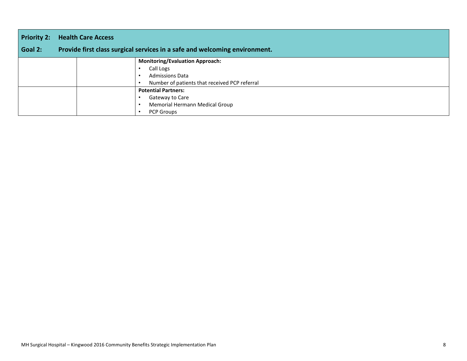| <b>Priority 2:</b> | <b>Health Care Access</b> |                                                                            |
|--------------------|---------------------------|----------------------------------------------------------------------------|
| Goal 2:            |                           | Provide first class surgical services in a safe and welcoming environment. |
|                    |                           | <b>Monitoring/Evaluation Approach:</b>                                     |
|                    |                           | Call Logs                                                                  |
|                    |                           | <b>Admissions Data</b>                                                     |
|                    |                           | Number of patients that received PCP referral                              |
|                    |                           | <b>Potential Partners:</b>                                                 |
|                    |                           | Gateway to Care                                                            |
|                    |                           | Memorial Hermann Medical Group                                             |
|                    |                           | PCP Groups                                                                 |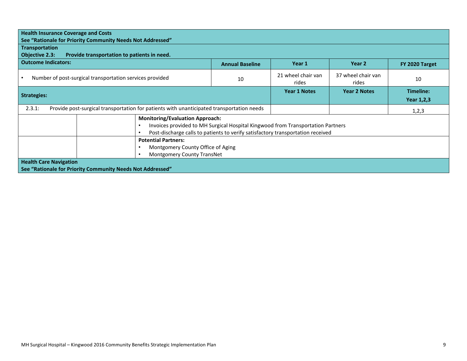|                                                                                                                                                                                                              | <b>Health Insurance Coverage and Costs</b><br>See "Rationale for Priority Community Needs Not Addressed" |                        |                             |                             |                         |
|--------------------------------------------------------------------------------------------------------------------------------------------------------------------------------------------------------------|----------------------------------------------------------------------------------------------------------|------------------------|-----------------------------|-----------------------------|-------------------------|
| <b>Transportation</b><br><b>Objective 2.3:</b>                                                                                                                                                               | Provide transportation to patients in need.                                                              |                        |                             |                             |                         |
| <b>Outcome Indicators:</b>                                                                                                                                                                                   |                                                                                                          | <b>Annual Baseline</b> | Year 1                      | Year 2                      | FY 2020 Target          |
| Number of post-surgical transportation services provided                                                                                                                                                     |                                                                                                          | 10                     | 21 wheel chair van<br>rides | 37 wheel chair van<br>rides | 10                      |
| <b>Strategies:</b>                                                                                                                                                                                           |                                                                                                          |                        | <b>Year 1 Notes</b>         | <b>Year 2 Notes</b>         | Timeline:<br>Year 1,2,3 |
| 2.3.1:                                                                                                                                                                                                       | Provide post-surgical transportation for patients with unanticipated transportation needs                |                        |                             |                             | 1,2,3                   |
| <b>Monitoring/Evaluation Approach:</b><br>Invoices provided to MH Surgical Hospital Kingwood from Transportation Partners<br>Post-discharge calls to patients to verify satisfactory transportation received |                                                                                                          |                        |                             |                             |                         |
| <b>Potential Partners:</b><br>Montgomery County Office of Aging<br><b>Montgomery County TransNet</b>                                                                                                         |                                                                                                          |                        |                             |                             |                         |
| <b>Health Care Navigation</b><br>See "Rationale for Priority Community Needs Not Addressed"                                                                                                                  |                                                                                                          |                        |                             |                             |                         |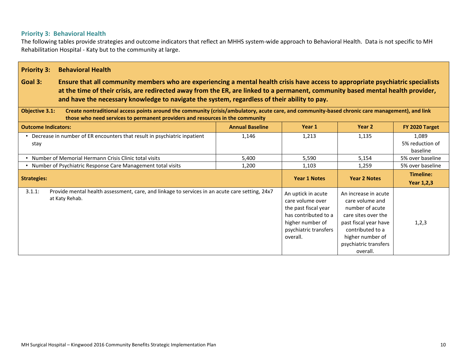### **Priority 3: Behavioral Health**

The following tables provide strategies and outcome indicators that reflect an MHHS system-wide approach to Behavioral Health. Data is not specific to MH Rehabilitation Hospital - Katy but to the community at large.

| <b>Priority 3:</b><br><b>Behavioral Health</b>                                                                                                                                                                                                                                                                                                                                  |                        |                                                                                                                                                 |                                                                                                                                                                                         |                                      |  |
|---------------------------------------------------------------------------------------------------------------------------------------------------------------------------------------------------------------------------------------------------------------------------------------------------------------------------------------------------------------------------------|------------------------|-------------------------------------------------------------------------------------------------------------------------------------------------|-----------------------------------------------------------------------------------------------------------------------------------------------------------------------------------------|--------------------------------------|--|
| Goal 3:<br>Ensure that all community members who are experiencing a mental health crisis have access to appropriate psychiatric specialists<br>at the time of their crisis, are redirected away from the ER, are linked to a permanent, community based mental health provider,<br>and have the necessary knowledge to navigate the system, regardless of their ability to pay. |                        |                                                                                                                                                 |                                                                                                                                                                                         |                                      |  |
| <b>Objective 3.1:</b><br>Create nontraditional access points around the community (crisis/ambulatory, acute care, and community-based chronic care management), and link<br>those who need services to permanent providers and resources in the community                                                                                                                       |                        |                                                                                                                                                 |                                                                                                                                                                                         |                                      |  |
| <b>Outcome Indicators:</b>                                                                                                                                                                                                                                                                                                                                                      | <b>Annual Baseline</b> | Year 1                                                                                                                                          | Year 2                                                                                                                                                                                  | FY 2020 Target                       |  |
| • Decrease in number of ER encounters that result in psychiatric inpatient<br>stay                                                                                                                                                                                                                                                                                              | 1,146                  | 1,213                                                                                                                                           | 1,135                                                                                                                                                                                   | 1.089<br>5% reduction of<br>baseline |  |
| • Number of Memorial Hermann Crisis Clinic total visits                                                                                                                                                                                                                                                                                                                         | 5,400                  | 5,590                                                                                                                                           | 5,154                                                                                                                                                                                   | 5% over baseline                     |  |
| • Number of Psychiatric Response Care Management total visits                                                                                                                                                                                                                                                                                                                   | 1,200                  | 1,103                                                                                                                                           | 1,259                                                                                                                                                                                   | 5% over baseline                     |  |
| <b>Strategies:</b>                                                                                                                                                                                                                                                                                                                                                              |                        | <b>Year 1 Notes</b>                                                                                                                             | <b>Year 2 Notes</b>                                                                                                                                                                     | Timeline:<br>Year 1,2,3              |  |
| 3.1.1:<br>Provide mental health assessment, care, and linkage to services in an acute care setting, 24x7<br>at Katy Rehab.                                                                                                                                                                                                                                                      |                        | An uptick in acute<br>care volume over<br>the past fiscal year<br>has contributed to a<br>higher number of<br>psychiatric transfers<br>overall. | An increase in acute<br>care volume and<br>number of acute<br>care sites over the<br>past fiscal year have<br>contributed to a<br>higher number of<br>psychiatric transfers<br>overall. | 1,2,3                                |  |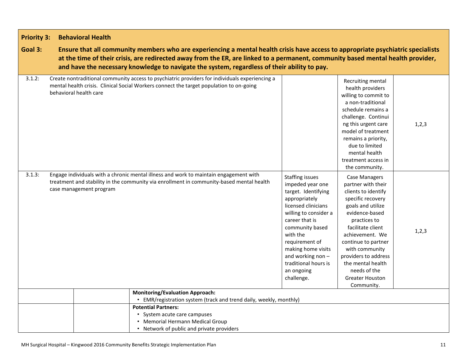| <b>Priority 3:</b> | <b>Behavioral Health</b>                                                                                                                                                                                                                                                                                                                                             |                                                                                                                                                                                                                                                                                                      |                                                                                                                                                                                                                                                                                                                              |         |
|--------------------|----------------------------------------------------------------------------------------------------------------------------------------------------------------------------------------------------------------------------------------------------------------------------------------------------------------------------------------------------------------------|------------------------------------------------------------------------------------------------------------------------------------------------------------------------------------------------------------------------------------------------------------------------------------------------------|------------------------------------------------------------------------------------------------------------------------------------------------------------------------------------------------------------------------------------------------------------------------------------------------------------------------------|---------|
| Goal 3:            | Ensure that all community members who are experiencing a mental health crisis have access to appropriate psychiatric specialists<br>at the time of their crisis, are redirected away from the ER, are linked to a permanent, community based mental health provider,<br>and have the necessary knowledge to navigate the system, regardless of their ability to pay. |                                                                                                                                                                                                                                                                                                      |                                                                                                                                                                                                                                                                                                                              |         |
| 3.1.2:             | Create nontraditional community access to psychiatric providers for individuals experiencing a<br>mental health crisis. Clinical Social Workers connect the target population to on-going<br>behavioral health care                                                                                                                                                  |                                                                                                                                                                                                                                                                                                      | Recruiting mental<br>health providers<br>willing to commit to<br>a non-traditional<br>schedule remains a<br>challenge. Continui<br>ng this urgent care<br>model of treatment<br>remains a priority,<br>due to limited<br>mental health<br>treatment access in<br>the community.                                              | 1,2,3   |
| 3.1.3:             | Engage individuals with a chronic mental illness and work to maintain engagement with<br>treatment and stability in the community via enrollment in community-based mental health<br>case management program                                                                                                                                                         | <b>Staffing issues</b><br>impeded year one<br>target. Identifying<br>appropriately<br>licensed clinicians<br>willing to consider a<br>career that is<br>community based<br>with the<br>requirement of<br>making home visits<br>and working non -<br>traditional hours is<br>an ongoing<br>challenge. | <b>Case Managers</b><br>partner with their<br>clients to identify<br>specific recovery<br>goals and utilize<br>evidence-based<br>practices to<br>facilitate client<br>achievement. We<br>continue to partner<br>with community<br>providers to address<br>the mental health<br>needs of the<br>Greater Houston<br>Community. | 1, 2, 3 |
|                    | <b>Monitoring/Evaluation Approach:</b>                                                                                                                                                                                                                                                                                                                               |                                                                                                                                                                                                                                                                                                      |                                                                                                                                                                                                                                                                                                                              |         |
|                    | • EMR/registration system (track and trend daily, weekly, monthly)<br><b>Potential Partners:</b><br>• System acute care campuses<br>• Memorial Hermann Medical Group<br>• Network of public and private providers                                                                                                                                                    |                                                                                                                                                                                                                                                                                                      |                                                                                                                                                                                                                                                                                                                              |         |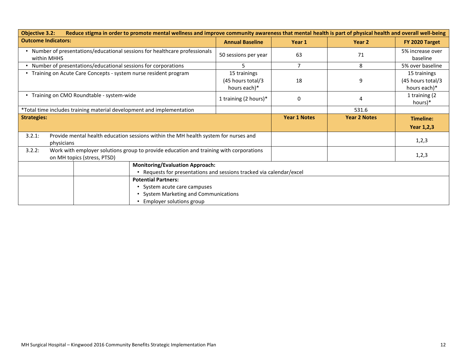| Reduce stigma in order to promote mental wellness and improve community awareness that mental health is part of physical health and overall well-being<br><b>Objective 3.2:</b> |                                        |                                                   |                     |                     |                                                   |
|---------------------------------------------------------------------------------------------------------------------------------------------------------------------------------|----------------------------------------|---------------------------------------------------|---------------------|---------------------|---------------------------------------------------|
| <b>Outcome Indicators:</b>                                                                                                                                                      |                                        | <b>Annual Baseline</b>                            | Year 1              | Year 2              | FY 2020 Target                                    |
| • Number of presentations/educational sessions for healthcare professionals<br>within MHHS                                                                                      |                                        | 50 sessions per year                              | 63                  | 71                  | 5% increase over<br>baseline                      |
| • Number of presentations/educational sessions for corporations                                                                                                                 |                                        | 5                                                 |                     | 8                   | 5% over baseline                                  |
| Training on Acute Care Concepts - system nurse resident program                                                                                                                 |                                        | 15 trainings<br>(45 hours total/3<br>hours each)* | 18                  | 9                   | 15 trainings<br>(45 hours total/3<br>hours each)* |
| • Training on CMO Roundtable - system-wide                                                                                                                                      |                                        | 1 training (2 hours)*                             | 0                   | 4                   | 1 training (2<br>hours)*                          |
| *Total time includes training material development and implementation                                                                                                           |                                        |                                                   |                     | 531.6               |                                                   |
| <b>Strategies:</b>                                                                                                                                                              |                                        |                                                   | <b>Year 1 Notes</b> | <b>Year 2 Notes</b> | Timeline:<br><b>Year 1,2,3</b>                    |
| Provide mental health education sessions within the MH health system for nurses and<br>3.2.1:<br>physicians                                                                     |                                        |                                                   |                     |                     | 1,2,3                                             |
| Work with employer solutions group to provide education and training with corporations<br>3.2.2:<br>on MH topics (stress, PTSD)                                                 |                                        |                                                   |                     |                     | 1,2,3                                             |
|                                                                                                                                                                                 | <b>Monitoring/Evaluation Approach:</b> |                                                   |                     |                     |                                                   |
| Requests for presentations and sessions tracked via calendar/excel                                                                                                              |                                        |                                                   |                     |                     |                                                   |
| <b>Potential Partners:</b><br>System acute care campuses<br>System Marketing and Communications                                                                                 |                                        |                                                   |                     |                     |                                                   |
|                                                                                                                                                                                 | Employer solutions group               |                                                   |                     |                     |                                                   |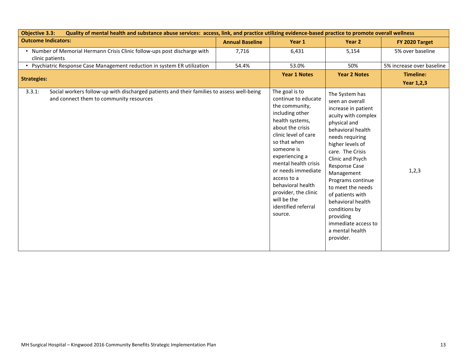| Quality of mental health and substance abuse services: access, link, and practice utilizing evidence-based practice to promote overall wellness<br><b>Objective 3.3:</b> |                        |                                                                                                                                                                                                                                                                                                                                                      |                                                                                                                                                                                                                                                                                                                                                                                                                   |                                       |  |
|--------------------------------------------------------------------------------------------------------------------------------------------------------------------------|------------------------|------------------------------------------------------------------------------------------------------------------------------------------------------------------------------------------------------------------------------------------------------------------------------------------------------------------------------------------------------|-------------------------------------------------------------------------------------------------------------------------------------------------------------------------------------------------------------------------------------------------------------------------------------------------------------------------------------------------------------------------------------------------------------------|---------------------------------------|--|
| <b>Outcome Indicators:</b>                                                                                                                                               | <b>Annual Baseline</b> | Year 1                                                                                                                                                                                                                                                                                                                                               | Year 2                                                                                                                                                                                                                                                                                                                                                                                                            | FY 2020 Target                        |  |
| • Number of Memorial Hermann Crisis Clinic follow-ups post discharge with<br>clinic patients                                                                             | 7,716                  | 6,431                                                                                                                                                                                                                                                                                                                                                | 5,154                                                                                                                                                                                                                                                                                                                                                                                                             | 5% over baseline                      |  |
| • Psychiatric Response Case Management reduction in system ER utilization                                                                                                | 54.4%                  | 53.0%                                                                                                                                                                                                                                                                                                                                                | 50%                                                                                                                                                                                                                                                                                                                                                                                                               | 5% increase over baseline             |  |
| <b>Strategies:</b>                                                                                                                                                       |                        | <b>Year 1 Notes</b>                                                                                                                                                                                                                                                                                                                                  | <b>Year 2 Notes</b>                                                                                                                                                                                                                                                                                                                                                                                               | <b>Timeline:</b><br><b>Year 1,2,3</b> |  |
| 3.3.1:<br>Social workers follow-up with discharged patients and their families to assess well-being<br>and connect them to community resources                           |                        | The goal is to<br>continue to educate<br>the community,<br>including other<br>health systems,<br>about the crisis<br>clinic level of care<br>so that when<br>someone is<br>experiencing a<br>mental health crisis<br>or needs immediate<br>access to a<br>behavioral health<br>provider, the clinic<br>will be the<br>identified referral<br>source. | The System has<br>seen an overall<br>increase in patient<br>acuity with complex<br>physical and<br>behavioral health<br>needs requiring<br>higher levels of<br>care. The Crisis<br>Clinic and Psych<br><b>Response Case</b><br>Management<br>Programs continue<br>to meet the needs<br>of patients with<br>behavioral health<br>conditions by<br>providing<br>immediate access to<br>a mental health<br>provider. | 1,2,3                                 |  |